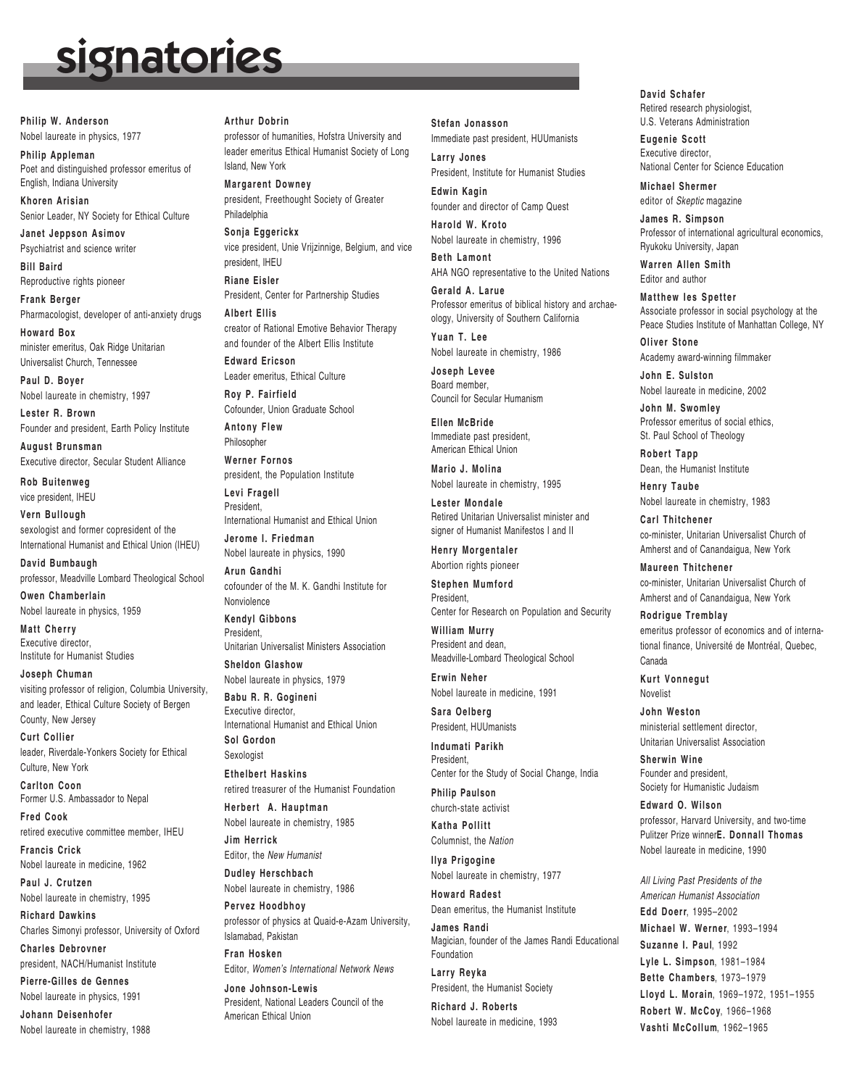## signatories

**Philip W. Anderson** Nobel laureate in physics, 1977

**Philip Appleman** Poet and distinguished professor emeritus of English, Indiana University

**Khoren Arisian** Senior Leader, NY Society for Ethical Culture

**Janet Jeppson Asimov** Psychiatrist and science writer

**Bill Baird** Reproductive rights pioneer

**Frank Berger** Pharmacologist, developer of anti-anxiety drugs

**Howard Box** minister emeritus, Oak Ridge Unitarian Universalist Church, Tennessee

**Paul D. Boyer** Nobel laureate in chemistry, 1997

**Lester R. Brown** Founder and president, Earth Policy Institute

**August Brunsman** Executive director, Secular Student Alliance

**Rob Buitenweg** vice president, IHEU

**Vern Bullough** sexologist and former copresident of the International Humanist and Ethical Union (IHEU)

**David Bumbaugh** professor, Meadville Lombard Theological School

**Owen Chamberlain** Nobel laureate in physics, 1959

**Matt Cherry** Executive director, Institute for Humanist Studies

**Joseph Chuman** visiting professor of religion, Columbia University, and leader, Ethical Culture Society of Bergen County, New Jersey

**Curt Collier** leader, Riverdale-Yonkers Society for Ethical Culture, New York

**Carlton Coon** Former U.S. Ambassador to Nepal

**Fred Cook** retired executive committee member, IHEU

**Francis Crick** Nobel laureate in medicine, 1962

**Paul J. Crutzen** Nobel laureate in chemistry, 1995

**Richard Dawkins** Charles Simonyi professor, University of Oxford

**Charles Debrovner** president, NACH/Humanist Institute

**Pierre-Gilles de Gennes** Nobel laureate in physics, 1991

**Johann Deisenhofer** Nobel laureate in chemistry, 1988

## **Arthur Dobrin**

professor of humanities, Hofstra University and leader emeritus Ethical Humanist Society of Long Island, New York

**Margarent Downey** president, Freethought Society of Greater Philadelphia

**Sonja Eggerickx** vice president, Unie Vrijzinnige, Belgium, and vice president, IHEU

**Riane Eisler** President, Center for Partnership Studies

**Albert Ellis** creator of Rational Emotive Behavior Therapy and founder of the Albert Ellis Institute

**Edward Ericson** Leader emeritus, Ethical Culture

**Roy P. Fairfield** Cofounder, Union Graduate School **Antony Flew**

Philosopher

**Werner Fornos** president, the Population Institute

**Levi Fragell** President, International Humanist and Ethical Union

**Jerome I. Friedman** Nobel laureate in physics, 1990

**Arun Gandhi** cofounder of the M. K. Gandhi Institute for Nonviolence **Kendyl Gibbons**

**President** Unitarian Universalist Ministers Association

**Sheldon Glashow** Nobel laureate in physics, 1979

**Babu R. R. Gogineni** Executive director, International Humanist and Ethical Union **Sol Gordon** Sexologist

**Ethelbert Haskins** retired treasurer of the Humanist Foundation

**Herbert A. Hauptman** Nobel laureate in chemistry, 1985

**Jim Herrick** Editor, the *New Humanist*

**Dudley Herschbach** Nobel laureate in chemistry, 1986

**Pervez Hoodbhoy** professor of physics at Quaid-e-Azam University, Islamabad, Pakistan

**Fran Hosken** Editor, *Women's International Network News*

**Jone Johnson-Lewis** President, National Leaders Council of the American Ethical Union

**Stefan Jonasson**

Immediate past president, HUUmanists **Larry Jones** President, Institute for Humanist Studies

**Edwin Kagin** founder and director of Camp Quest

**Harold W. Kroto** Nobel laureate in chemistry, 1996

**Beth Lamont** AHA NGO representative to the United Nations

**Gerald A. Larue** Professor emeritus of biblical history and archaeology, University of Southern California

**Yuan T. Lee** Nobel laureate in chemistry, 1986

**Joseph Levee** Board member, Council for Secular Humanism

**Ellen McBride** Immediate past president, American Ethical Union

**Mario J. Molina** Nobel laureate in chemistry, 1995

**Lester Mondale** Retired Unitarian Universalist minister and signer of Humanist Manifestos I and II

**Henry Morgentaler** Abortion rights pioneer

**Stephen Mumford** President, Center for Research on Population and Security

**William Murry** President and dean, Meadville-Lombard Theological School

**Erwin Neher** Nobel laureate in medicine, 1991

**Sara Oelberg** President, HUUmanists

**Indumati Parikh** President,

Center for the Study of Social Change, India **Philip Paulson**

church-state activist

**Katha Pollitt** Columnist, the *Nation*

**Ilya Prigogine** Nobel laureate in chemistry, 1977

**Howard Radest** Dean emeritus, the Humanist Institute

**James Randi** Magician, founder of the James Randi Educational Foundation

**Larry Reyka** President, the Humanist Society

**Richard J. Roberts** Nobel laureate in medicine, 1993 **David Schafer** Retired research physiologist, U.S. Veterans Administration

**Eugenie Scott** Executive director, National Center for Science Education

**Michael Shermer** editor of *Skeptic* magazine

**James R. Simpson** Professor of international agricultural economics, Ryukoku University, Japan

**Warren Allen Smith** Editor and author

**Matthew Ies Spetter** Associate professor in social psychology at the Peace Studies Institute of Manhattan College, NY

**Oliver Stone** Academy award-winning filmmaker

**John E. Sulston** Nobel laureate in medicine, 2002

**John M. Swomley** Professor emeritus of social ethics, St. Paul School of Theology

**Robert Tapp** Dean, the Humanist Institute

**Henry Taube** Nobel laureate in chemistry, 1983

**Carl Thitchener** co-minister, Unitarian Universalist Church of Amherst and of Canandaigua, New York

**Maureen Thitchener** co-minister, Unitarian Universalist Church of Amherst and of Canandaigua, New York

**Rodrigue Tremblay** emeritus professor of economics and of international finance, Université de Montréal, Quebec, Canada

**Kurt Vonnegut** Novelist

**John Weston** ministerial settlement director, Unitarian Universalist Association

**Sherwin Wine** Founder and president, Society for Humanistic Judaism

**Edward O. Wilson** professor, Harvard University, and two-time Pulitzer Prize winner**E. Donnall Thomas** Nobel laureate in medicine, 1990

*All Living Past Presidents of the American Humanist Association* **Edd Doerr**, 1995–2002 **Michael W. Werner**, 1993–1994 **Suzanne I. Paul**, 1992 **Lyle L. Simpson**, 1981–1984 **Bette Chambers**, 1973–1979 **Lloyd L. Morain**, 1969–1972, 1951–1955 **Robert W. McCoy**, 1966–1968 **Vashti McCollum**, 1962–1965